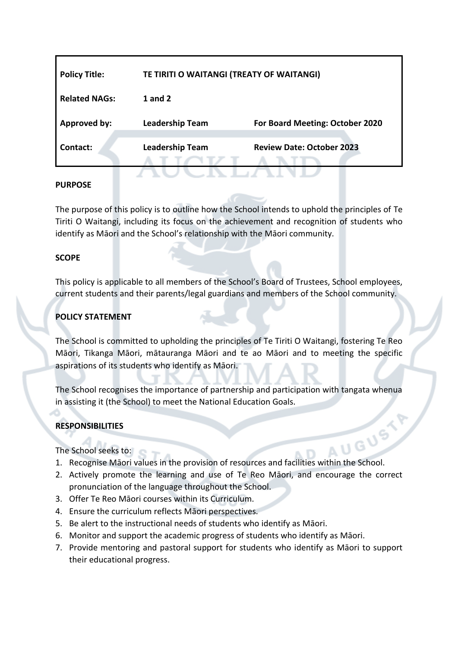| <b>Policy Title:</b> | TE TIRITI O WAITANGI (TREATY OF WAITANGI) |                                  |
|----------------------|-------------------------------------------|----------------------------------|
| <b>Related NAGs:</b> | 1 and $2$                                 |                                  |
| Approved by:         | <b>Leadership Team</b>                    | For Board Meeting: October 2020  |
| Contact:             | <b>Leadership Team</b>                    | <b>Review Date: October 2023</b> |
|                      |                                           |                                  |

#### **PURPOSE**

The purpose of this policy is to outline how the School intends to uphold the principles of Te Tiriti O Waitangi, including its focus on the achievement and recognition of students who identify as Māori and the School's relationship with the Māori community.

#### **SCOPE**

This policy is applicable to all members of the School's Board of Trustees, School employees, current students and their parents/legal guardians and members of the School community.

## **POLICY STATEMENT**

The School is committed to upholding the principles of Te Tiriti O Waitangi, fostering Te Reo Māori, Tikanga Māori, mātauranga Māori and te ao Māori and to meeting the specific aspirations of its students who identify as Māori.

The School recognises the importance of partnership and participation with tangata whenua in assisting it (the School) to meet the National Education Goals.

# **RESPONSIBILITIES**

The School seeks to:

- 1. The School seeks to:<br>
1. Recognise Māori values in the provision of resources and facilities within the School.
- 2. Actively promote the learning and use of Te Reo Māori, and encourage the correct pronunciation of the language throughout the School.
- 3. Offer Te Reo Māori courses within its Curriculum.
- 4. Ensure the curriculum reflects Māori perspectives.
- 5. Be alert to the instructional needs of students who identify as Māori.
- 6. Monitor and support the academic progress of students who identify as Māori.
- 7. Provide mentoring and pastoral support for students who identify as Māori to support their educational progress.